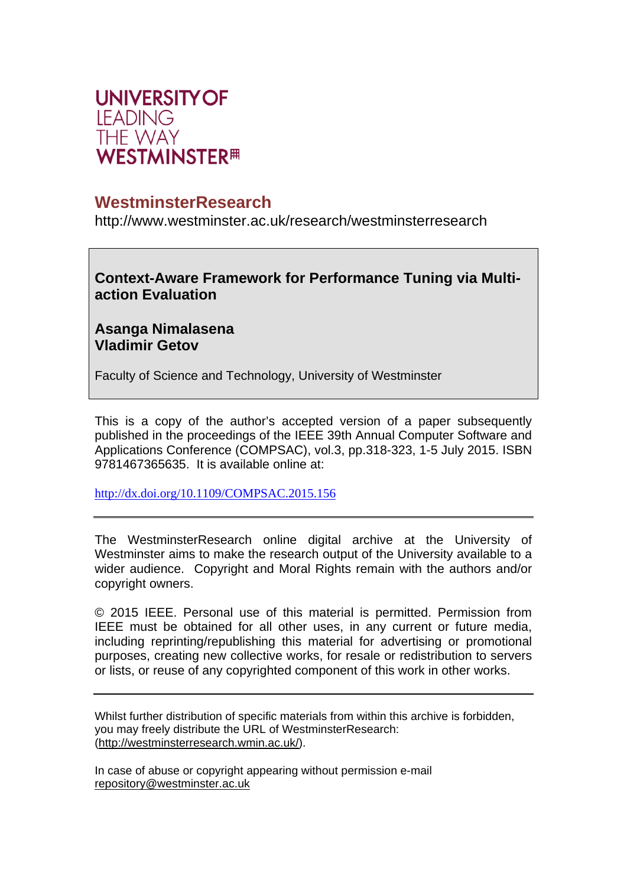

# **WestminsterResearch**

http://www.westminster.ac.uk/research/westminsterresearch

**Context-Aware Framework for Performance Tuning via Multiaction Evaluation** 

## **Asanga Nimalasena Vladimir Getov**

Faculty of Science and Technology, University of Westminster

This is a copy of the author's accepted version of a paper subsequently published in the proceedings of the IEEE 39th Annual Computer Software and Applications Conference (COMPSAC), vol.3, pp.318-323, 1-5 July 2015. ISBN 9781467365635. It is available online at:

http://dx.doi.org/10.1109/COMPSAC.2015.156

The WestminsterResearch online digital archive at the University of Westminster aims to make the research output of the University available to a wider audience. Copyright and Moral Rights remain with the authors and/or copyright owners.

© 2015 IEEE. Personal use of this material is permitted. Permission from IEEE must be obtained for all other uses, in any current or future media, including reprinting/republishing this material for advertising or promotional purposes, creating new collective works, for resale or redistribution to servers or lists, or reuse of any copyrighted component of this work in other works.

Whilst further distribution of specific materials from within this archive is forbidden, you may freely distribute the URL of WestminsterResearch: (http://westminsterresearch.wmin.ac.uk/).

In case of abuse or copyright appearing without permission e-mail repository@westminster.ac.uk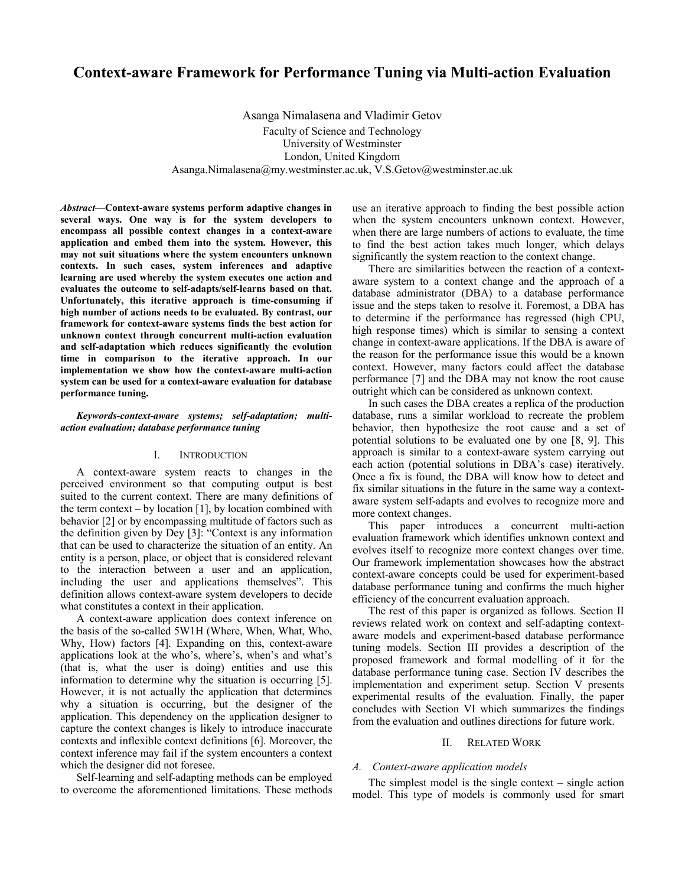### **Context-aware Framework for Performance Tuning via Multi-action Evaluation**

Asanga Nimalasena and Vladimir Getov Faculty of Science and Technology University of Westminster London, United Kingdom Asanga.Nimalasena@my.westminster.ac.uk, V.S.Getov@westminster.ac.uk

*Abstract***—Context-aware systems perform adaptive changes in several ways. One way is for the system developers to encompass all possible context changes in a context-aware application and embed them into the system. However, this may not suit situations where the system encounters unknown contexts. In such cases, system inferences and adaptive learning are used whereby the system executes one action and evaluates the outcome to self-adapts/self-learns based on that. Unfortunately, this iterative approach is time-consuming if high number of actions needs to be evaluated. By contrast, our framework for context-aware systems finds the best action for unknown context through concurrent multi-action evaluation and self-adaptation which reduces significantly the evolution time in comparison to the iterative approach. In our implementation we show how the context-aware multi-action system can be used for a context-aware evaluation for database performance tuning.** 

#### *Keywords-context-aware systems; self-adaptation; multiaction evaluation; database performance tuning*

#### I. INTRODUCTION

A context-aware system reacts to changes in the perceived environment so that computing output is best suited to the current context. There are many definitions of the term context – by location  $[1]$ , by location combined with behavior [2] or by encompassing multitude of factors such as the definition given by Dey [3]: "Context is any information that can be used to characterize the situation of an entity. An entity is a person, place, or object that is considered relevant to the interaction between a user and an application, including the user and applications themselves". This definition allows context-aware system developers to decide what constitutes a context in their application.

A context-aware application does context inference on the basis of the so-called 5W1H (Where, When, What, Who, Why, How) factors [4]. Expanding on this, context-aware applications look at the who's, where's, when's and what's (that is, what the user is doing) entities and use this information to determine why the situation is occurring [5]. However, it is not actually the application that determines why a situation is occurring, but the designer of the application. This dependency on the application designer to capture the context changes is likely to introduce inaccurate contexts and inflexible context definitions [6]. Moreover, the context inference may fail if the system encounters a context which the designer did not foresee.

Self-learning and self-adapting methods can be employed to overcome the aforementioned limitations. These methods

use an iterative approach to finding the best possible action when the system encounters unknown context. However, when there are large numbers of actions to evaluate, the time to find the best action takes much longer, which delays significantly the system reaction to the context change.

There are similarities between the reaction of a contextaware system to a context change and the approach of a database administrator (DBA) to a database performance issue and the steps taken to resolve it. Foremost, a DBA has to determine if the performance has regressed (high CPU, high response times) which is similar to sensing a context change in context-aware applications. If the DBA is aware of the reason for the performance issue this would be a known context. However, many factors could affect the database performance [7] and the DBA may not know the root cause outright which can be considered as unknown context.

In such cases the DBA creates a replica of the production database, runs a similar workload to recreate the problem behavior, then hypothesize the root cause and a set of potential solutions to be evaluated one by one [8, 9]. This approach is similar to a context-aware system carrying out each action (potential solutions in DBA's case) iteratively. Once a fix is found, the DBA will know how to detect and fix similar situations in the future in the same way a contextaware system self-adapts and evolves to recognize more and more context changes.

This paper introduces a concurrent multi-action evaluation framework which identifies unknown context and evolves itself to recognize more context changes over time. Our framework implementation showcases how the abstract context-aware concepts could be used for experiment-based database performance tuning and confirms the much higher efficiency of the concurrent evaluation approach.

The rest of this paper is organized as follows. Section II reviews related work on context and self-adapting contextaware models and experiment-based database performance tuning models. Section III provides a description of the proposed framework and formal modelling of it for the database performance tuning case. Section IV describes the implementation and experiment setup. Section V presents experimental results of the evaluation. Finally, the paper concludes with Section VI which summarizes the findings from the evaluation and outlines directions for future work.

#### II. RELATED WORK

#### *A. Context-aware application models*

The simplest model is the single context – single action model. This type of models is commonly used for smart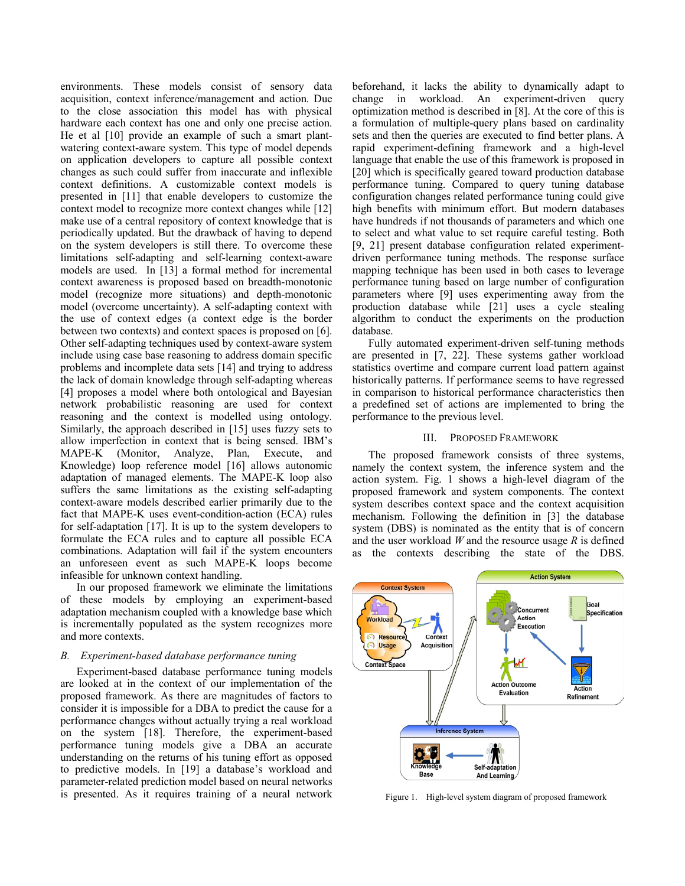environments. These models consist of sensory data acquisition, context inference/management and action. Due to the close association this model has with physical hardware each context has one and only one precise action. He et al [10] provide an example of such a smart plantwatering context-aware system. This type of model depends on application developers to capture all possible context changes as such could suffer from inaccurate and inflexible context definitions. A customizable context models is presented in [11] that enable developers to customize the context model to recognize more context changes while [12] make use of a central repository of context knowledge that is periodically updated. But the drawback of having to depend on the system developers is still there. To overcome these limitations self-adapting and self-learning context-aware models are used. In [13] a formal method for incremental context awareness is proposed based on breadth-monotonic model (recognize more situations) and depth-monotonic model (overcome uncertainty). A self-adapting context with the use of context edges (a context edge is the border between two contexts) and context spaces is proposed on [6]. Other self-adapting techniques used by context-aware system include using case base reasoning to address domain specific problems and incomplete data sets [14] and trying to address the lack of domain knowledge through self-adapting whereas [4] proposes a model where both ontological and Bayesian network probabilistic reasoning are used for context reasoning and the context is modelled using ontology. Similarly, the approach described in [15] uses fuzzy sets to allow imperfection in context that is being sensed. IBM's MAPE-K (Monitor, Analyze, Plan, Execute, and Knowledge) loop reference model [16] allows autonomic adaptation of managed elements. The MAPE-K loop also suffers the same limitations as the existing self-adapting context-aware models described earlier primarily due to the fact that MAPE-K uses event-condition-action (ECA) rules for self-adaptation [17]. It is up to the system developers to formulate the ECA rules and to capture all possible ECA combinations. Adaptation will fail if the system encounters an unforeseen event as such MAPE-K loops become infeasible for unknown context handling.

In our proposed framework we eliminate the limitations of these models by employing an experiment-based adaptation mechanism coupled with a knowledge base which is incrementally populated as the system recognizes more and more contexts.

### *B. Experiment-based database performance tuning*

Experiment-based database performance tuning models are looked at in the context of our implementation of the proposed framework. As there are magnitudes of factors to consider it is impossible for a DBA to predict the cause for a performance changes without actually trying a real workload on the system [18]. Therefore, the experiment-based performance tuning models give a DBA an accurate understanding on the returns of his tuning effort as opposed to predictive models. In [19] a database's workload and parameter-related prediction model based on neural networks is presented. As it requires training of a neural network

beforehand, it lacks the ability to dynamically adapt to change in workload. An experiment-driven query optimization method is described in [8]. At the core of this is a formulation of multiple-query plans based on cardinality sets and then the queries are executed to find better plans. A rapid experiment-defining framework and a high-level language that enable the use of this framework is proposed in [20] which is specifically geared toward production database performance tuning. Compared to query tuning database configuration changes related performance tuning could give high benefits with minimum effort. But modern databases have hundreds if not thousands of parameters and which one to select and what value to set require careful testing. Both [9, 21] present database configuration related experimentdriven performance tuning methods. The response surface mapping technique has been used in both cases to leverage performance tuning based on large number of configuration parameters where [9] uses experimenting away from the production database while [21] uses a cycle stealing algorithm to conduct the experiments on the production database.

Fully automated experiment-driven self-tuning methods are presented in [7, 22]. These systems gather workload statistics overtime and compare current load pattern against historically patterns. If performance seems to have regressed in comparison to historical performance characteristics then a predefined set of actions are implemented to bring the performance to the previous level.

#### III. PROPOSED FRAMEWORK

The proposed framework consists of three systems, namely the context system, the inference system and the action system. Fig. 1 shows a high-level diagram of the proposed framework and system components. The context system describes context space and the context acquisition mechanism. Following the definition in [3] the database system (DBS) is nominated as the entity that is of concern and the user workload *W* and the resource usage *R* is defined as the contexts describing the state of the DBS.



Figure 1. High-level system diagram of proposed framework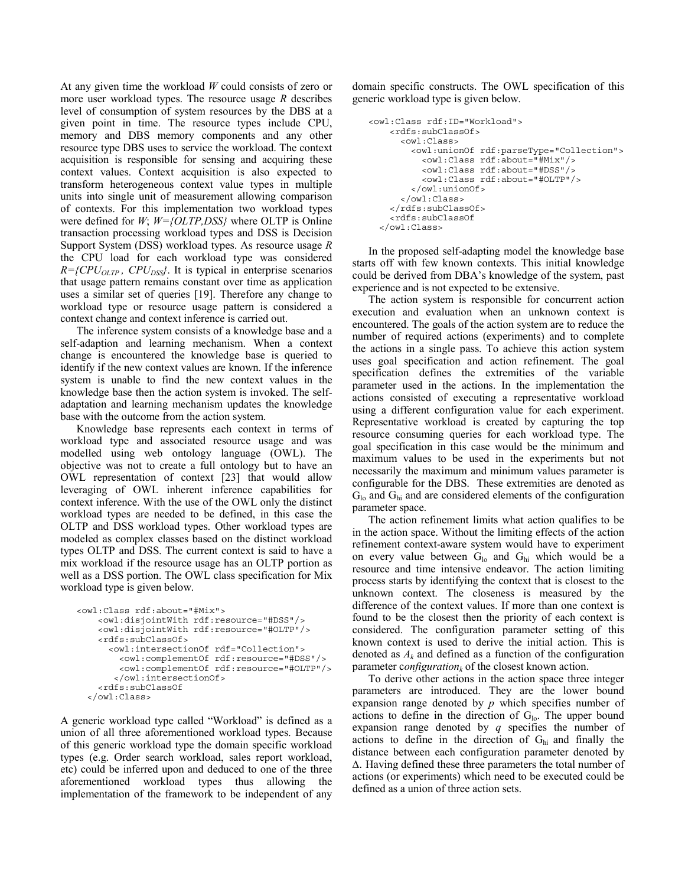At any given time the workload *W* could consists of zero or more user workload types. The resource usage *R* describes level of consumption of system resources by the DBS at a given point in time. The resource types include CPU, memory and DBS memory components and any other resource type DBS uses to service the workload. The context acquisition is responsible for sensing and acquiring these context values. Context acquisition is also expected to transform heterogeneous context value types in multiple units into single unit of measurement allowing comparison of contexts. For this implementation two workload types were defined for *W*; *W={OLTP,DSS}* where OLTP is Online transaction processing workload types and DSS is Decision Support System (DSS) workload types. As resource usage *R* the CPU load for each workload type was considered  $R = \{CPU_{OLTP}, CPU_{DSS}\}.$  It is typical in enterprise scenarios that usage pattern remains constant over time as application uses a similar set of queries [19]. Therefore any change to workload type or resource usage pattern is considered a context change and context inference is carried out.

The inference system consists of a knowledge base and a self-adaption and learning mechanism. When a context change is encountered the knowledge base is queried to identify if the new context values are known. If the inference system is unable to find the new context values in the knowledge base then the action system is invoked. The selfadaptation and learning mechanism updates the knowledge base with the outcome from the action system.

Knowledge base represents each context in terms of workload type and associated resource usage and was modelled using web ontology language (OWL). The objective was not to create a full ontology but to have an OWL representation of context [23] that would allow leveraging of OWL inherent inference capabilities for context inference. With the use of the OWL only the distinct workload types are needed to be defined, in this case the OLTP and DSS workload types. Other workload types are modeled as complex classes based on the distinct workload types OLTP and DSS. The current context is said to have a mix workload if the resource usage has an OLTP portion as well as a DSS portion. The OWL class specification for Mix workload type is given below.

```
<owl:Class rdf:about="#Mix"> 
   <owl:disjointWith rdf:resource="#DSS"/> 
   <owl:disjointWith rdf:resource="#OLTP"/> 
   <rdfs:subClassOf> 
     <owl:intersectionOf rdf="Collection"> 
       <owl:complementOf rdf:resource="#DSS"/> 
       <owl:complementOf rdf:resource="#OLTP"/> 
      </owl:intersectionOf> 
   <rdfs:subClassOf 
</owl:Class>
```
A generic workload type called "Workload" is defined as a union of all three aforementioned workload types. Because of this generic workload type the domain specific workload types (e.g. Order search workload, sales report workload, etc) could be inferred upon and deduced to one of the three aforementioned workload types thus allowing the implementation of the framework to be independent of any domain specific constructs. The OWL specification of this generic workload type is given below.

```
<owl:Class rdf:ID="Workload"> 
   <rdfs:subClassOf> 
     <owl:Class> 
       <owl:unionOf rdf:parseType="Collection"> 
          <owl:Class rdf:about="#Mix"/> 
          <owl:Class rdf:about="#DSS"/> 
          <owl:Class rdf:about="#OLTP"/> 
       </owl:unionOf> 
     </owl:Class> 
   </rdfs:subClassOf> 
   <rdfs:subClassOf 
 </owl:Class>
```
In the proposed self-adapting model the knowledge base starts off with few known contexts. This initial knowledge could be derived from DBA's knowledge of the system, past experience and is not expected to be extensive.

The action system is responsible for concurrent action execution and evaluation when an unknown context is encountered. The goals of the action system are to reduce the number of required actions (experiments) and to complete the actions in a single pass. To achieve this action system uses goal specification and action refinement. The goal specification defines the extremities of the variable parameter used in the actions. In the implementation the actions consisted of executing a representative workload using a different configuration value for each experiment. Representative workload is created by capturing the top resource consuming queries for each workload type. The goal specification in this case would be the minimum and maximum values to be used in the experiments but not necessarily the maximum and minimum values parameter is configurable for the DBS. These extremities are denoted as  $G_{\text{lo}}$  and  $G_{\text{hi}}$  and are considered elements of the configuration parameter space.

The action refinement limits what action qualifies to be in the action space. Without the limiting effects of the action refinement context-aware system would have to experiment on every value between  $G_{\text{lo}}$  and  $G_{\text{hi}}$  which would be a resource and time intensive endeavor. The action limiting process starts by identifying the context that is closest to the unknown context. The closeness is measured by the difference of the context values. If more than one context is found to be the closest then the priority of each context is considered. The configuration parameter setting of this known context is used to derive the initial action. This is denoted as  $A_k$  and defined as a function of the configuration parameter *configuration*<sub>k</sub> of the closest known action.

To derive other actions in the action space three integer parameters are introduced. They are the lower bound expansion range denoted by *p* which specifies number of actions to define in the direction of  $G<sub>lo</sub>$ . The upper bound expansion range denoted by *q* specifies the number of actions to define in the direction of  $G<sub>hi</sub>$  and finally the distance between each configuration parameter denoted by ∆. Having defined these three parameters the total number of actions (or experiments) which need to be executed could be defined as a union of three action sets.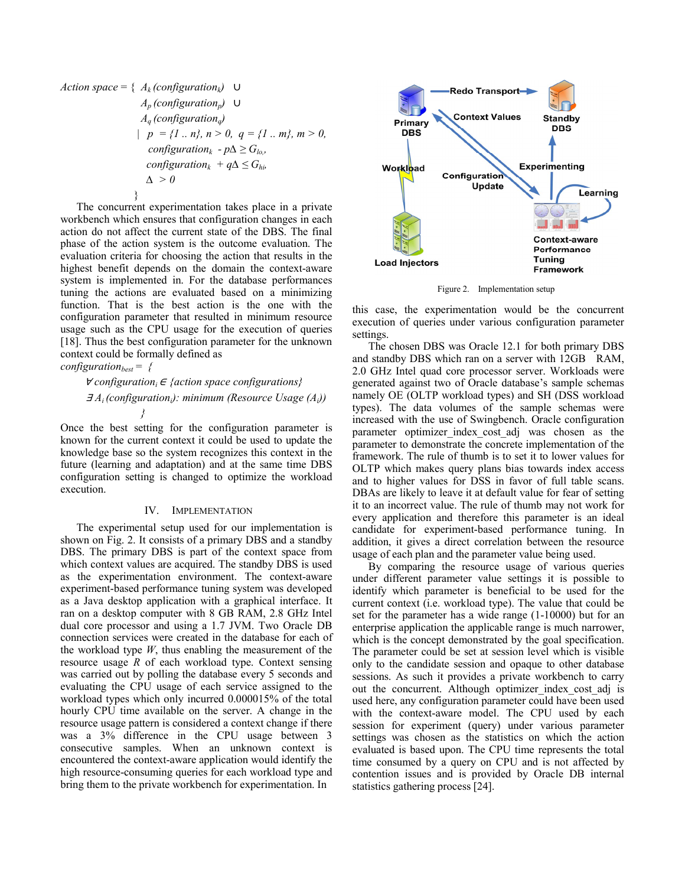Action space = { 
$$
A_k
$$
 (configuration<sub>k</sub>)  $\cup$   
\n $A_p$  (configuration<sub>p</sub>)  $\cup$   
\n $A_q$  (configuration<sub>q</sub>)  
\n $| p = {1 ... n}, n > 0, q = {1 ... m}, m > 0,$   
\n*configuration<sub>k</sub> - p $\Delta \ge G_{lo}$ ,  
\n*configuration<sub>k</sub> + q $\Delta \le G_{hi}$*   
\n $\Delta > 0$* 

The concurrent experimentation takes place in a private workbench which ensures that configuration changes in each action do not affect the current state of the DBS. The final phase of the action system is the outcome evaluation. The evaluation criteria for choosing the action that results in the highest benefit depends on the domain the context-aware system is implemented in. For the database performances tuning the actions are evaluated based on a minimizing function. That is the best action is the one with the configuration parameter that resulted in minimum resource usage such as the CPU usage for the execution of queries [18]. Thus the best configuration parameter for the unknown context could be formally defined as *configuration*<sub>best</sub> =  $\{$ 

<sup>∀</sup>*configurationi* <sup>∈</sup> *{action space configurations}*  $\exists A_i$  (configuration<sub>i</sub>): minimum (Resource Usage  $(A_i)$ )

 *}* 

Once the best setting for the configuration parameter is known for the current context it could be used to update the knowledge base so the system recognizes this context in the future (learning and adaptation) and at the same time DBS configuration setting is changed to optimize the workload execution.

#### IV. IMPLEMENTATION

The experimental setup used for our implementation is shown on Fig. 2. It consists of a primary DBS and a standby DBS. The primary DBS is part of the context space from which context values are acquired. The standby DBS is used as the experimentation environment. The context-aware experiment-based performance tuning system was developed as a Java desktop application with a graphical interface. It ran on a desktop computer with 8 GB RAM, 2.8 GHz Intel dual core processor and using a 1.7 JVM. Two Oracle DB connection services were created in the database for each of the workload type  $W$ , thus enabling the measurement of the resource usage *R* of each workload type. Context sensing was carried out by polling the database every 5 seconds and evaluating the CPU usage of each service assigned to the workload types which only incurred 0.000015% of the total hourly CPU time available on the server. A change in the resource usage pattern is considered a context change if there was a 3% difference in the CPU usage between 3 consecutive samples. When an unknown context is encountered the context-aware application would identify the high resource-consuming queries for each workload type and bring them to the private workbench for experimentation. In



Figure 2. Implementation setup

this case, the experimentation would be the concurrent execution of queries under various configuration parameter settings.

The chosen DBS was Oracle 12.1 for both primary DBS and standby DBS which ran on a server with 12GB RAM, 2.0 GHz Intel quad core processor server. Workloads were generated against two of Oracle database's sample schemas namely OE (OLTP workload types) and SH (DSS workload types). The data volumes of the sample schemas were increased with the use of Swingbench. Oracle configuration parameter optimizer index cost adj was chosen as the parameter to demonstrate the concrete implementation of the framework. The rule of thumb is to set it to lower values for OLTP which makes query plans bias towards index access and to higher values for DSS in favor of full table scans. DBAs are likely to leave it at default value for fear of setting it to an incorrect value. The rule of thumb may not work for every application and therefore this parameter is an ideal candidate for experiment-based performance tuning. In addition, it gives a direct correlation between the resource usage of each plan and the parameter value being used.

By comparing the resource usage of various queries under different parameter value settings it is possible to identify which parameter is beneficial to be used for the current context (i.e. workload type). The value that could be set for the parameter has a wide range (1-10000) but for an enterprise application the applicable range is much narrower, which is the concept demonstrated by the goal specification. The parameter could be set at session level which is visible only to the candidate session and opaque to other database sessions. As such it provides a private workbench to carry out the concurrent. Although optimizer index cost adj is used here, any configuration parameter could have been used with the context-aware model. The CPU used by each session for experiment (query) under various parameter settings was chosen as the statistics on which the action evaluated is based upon. The CPU time represents the total time consumed by a query on CPU and is not affected by contention issues and is provided by Oracle DB internal statistics gathering process [24].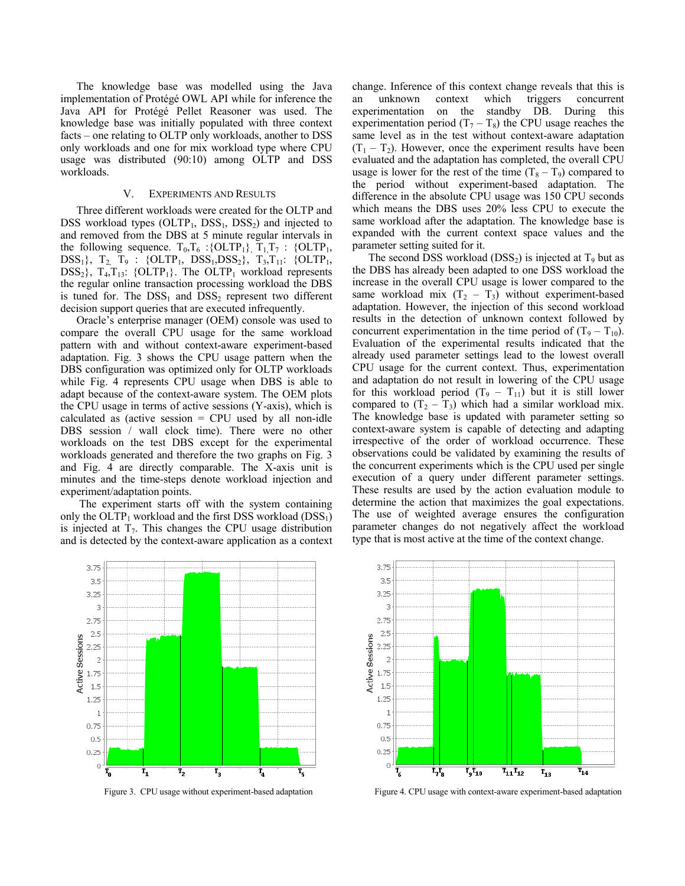The knowledge base was modelled using the Java implementation of Protégé OWL API while for inference the Java API for Protégé Pellet Reasoner was used. The knowledge base was initially populated with three context facts – one relating to OLTP only workloads, another to DSS only workloads and one for mix workload type where CPU usage was distributed (90:10) among OLTP and DSS workloads.

#### V. EXPERIMENTS AND RESULTS

Three different workloads were created for the OLTP and DSS workload types  $(OLTP_1, DSS_1, DSS_2)$  and injected to and removed from the DBS at 5 minute regular intervals in the following sequence.  $T_0, T_6$  : {OLTP<sub>1</sub>},  $T_1, T_7$  : {OLTP<sub>1</sub>,  $DSS_1$ }, T<sub>2,</sub> T<sub>9</sub> : {OLTP<sub>1</sub>,  $DSS_1, DSS_2$ }, T<sub>3</sub>,T<sub>11</sub>: {OLTP<sub>1</sub>,  $DSS_2$ ,  $T_4, T_{13}$ : {OLTP<sub>1</sub>}. The OLTP<sub>1</sub> workload represents the regular online transaction processing workload the DBS is tuned for. The  $DSS_1$  and  $DSS_2$  represent two different decision support queries that are executed infrequently.

Oracle's enterprise manager (OEM) console was used to compare the overall CPU usage for the same workload pattern with and without context-aware experiment-based adaptation. Fig. 3 shows the CPU usage pattern when the DBS configuration was optimized only for OLTP workloads while Fig. 4 represents CPU usage when DBS is able to adapt because of the context-aware system. The OEM plots the CPU usage in terms of active sessions (Y-axis), which is calculated as (active session  $=$  CPU used by all non-idle DBS session / wall clock time). There were no other workloads on the test DBS except for the experimental workloads generated and therefore the two graphs on Fig. 3 and Fig. 4 are directly comparable. The X-axis unit is minutes and the time-steps denote workload injection and experiment/adaptation points.

 The experiment starts off with the system containing only the OLTP<sub>1</sub> workload and the first DSS workload (DSS<sub>1</sub>) is injected at  $T_7$ . This changes the CPU usage distribution and is detected by the context-aware application as a context change. Inference of this context change reveals that this is an unknown context which triggers concurrent experimentation on the standby DB. During this experimentation period  $(T_7 - T_8)$  the CPU usage reaches the same level as in the test without context-aware adaptation  $(T_1 - T_2)$ . However, once the experiment results have been evaluated and the adaptation has completed, the overall CPU usage is lower for the rest of the time  $(T_8 - T_9)$  compared to the period without experiment-based adaptation. The difference in the absolute CPU usage was 150 CPU seconds which means the DBS uses 20% less CPU to execute the same workload after the adaptation. The knowledge base is expanded with the current context space values and the parameter setting suited for it.

The second DSS workload  $(DSS_2)$  is injected at  $T_9$  but as the DBS has already been adapted to one DSS workload the increase in the overall CPU usage is lower compared to the same workload mix  $(T_2 - T_3)$  without experiment-based adaptation. However, the injection of this second workload results in the detection of unknown context followed by concurrent experimentation in the time period of  $(T_9 - T_{10})$ . Evaluation of the experimental results indicated that the already used parameter settings lead to the lowest overall CPU usage for the current context. Thus, experimentation and adaptation do not result in lowering of the CPU usage for this workload period  $(T_9 - T_{11})$  but it is still lower compared to  $(T_2 - T_3)$  which had a similar workload mix. The knowledge base is updated with parameter setting so context-aware system is capable of detecting and adapting irrespective of the order of workload occurrence. These observations could be validated by examining the results of the concurrent experiments which is the CPU used per single execution of a query under different parameter settings. These results are used by the action evaluation module to determine the action that maximizes the goal expectations. The use of weighted average ensures the configuration parameter changes do not negatively affect the workload type that is most active at the time of the context change.





Figure 3. CPU usage without experiment-based adaptation Figure 4. CPU usage with context-aware experiment-based adaptation